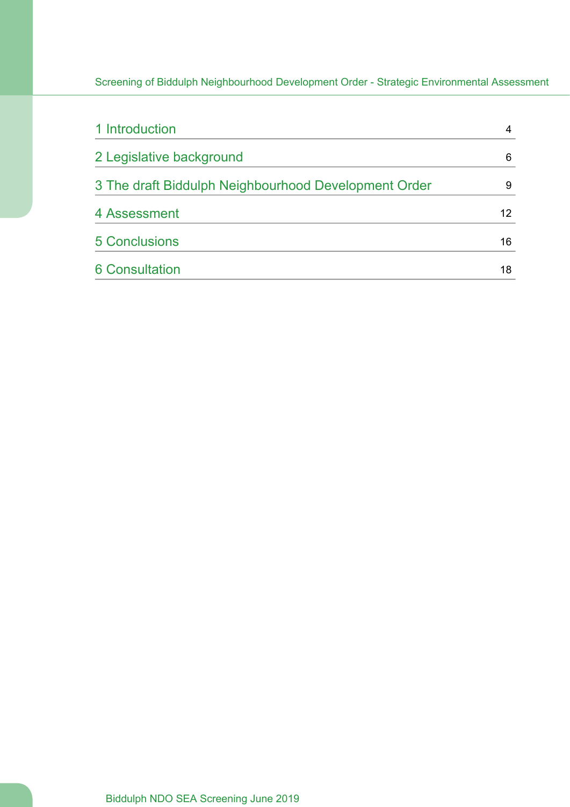| 1 Introduction                                       |    |
|------------------------------------------------------|----|
| 2 Legislative background                             | 6  |
| 3 The draft Biddulph Neighbourhood Development Order | 9  |
| 4 Assessment                                         | 12 |
| <b>5 Conclusions</b>                                 | 16 |
| <b>6 Consultation</b>                                | 18 |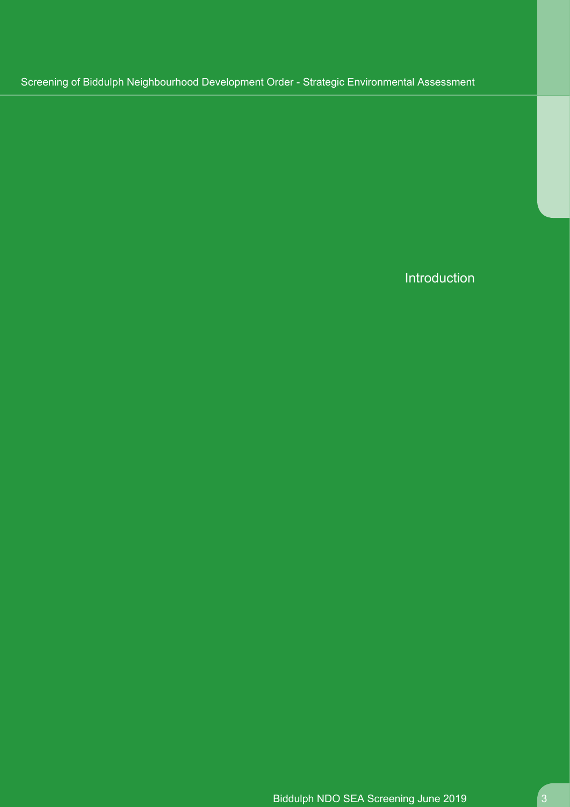Introduction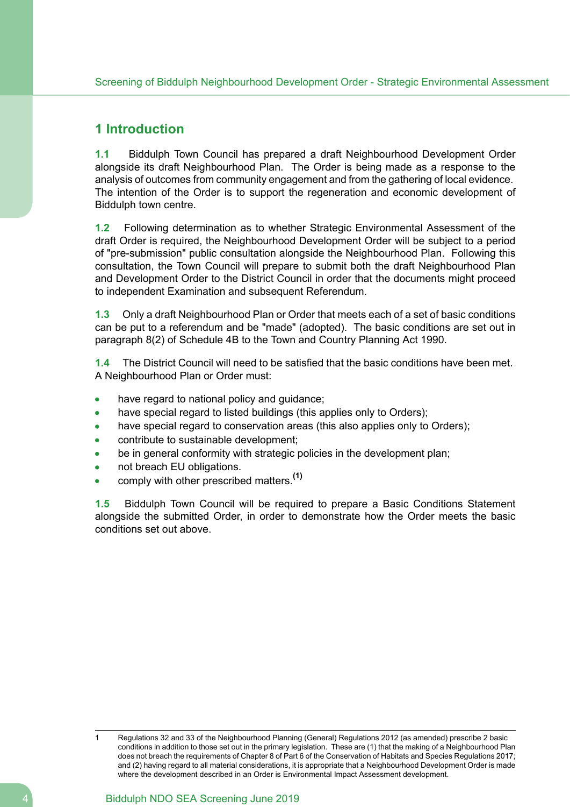# <span id="page-3-0"></span>**1 Introduction**

**1.1** Biddulph Town Council has prepared a draft Neighbourhood Development Order alongside its draft Neighbourhood Plan. The Order is being made as a response to the analysis of outcomes from community engagement and from the gathering of local evidence. The intention of the Order is to support the regeneration and economic development of Biddulph town centre.

**1.2** Following determination as to whether Strategic Environmental Assessment of the draft Order is required, the Neighbourhood Development Order will be subject to a period of "pre-submission" public consultation alongside the Neighbourhood Plan. Following this consultation, the Town Council will prepare to submit both the draft Neighbourhood Plan and Development Order to the District Council in order that the documents might proceed to independent Examination and subsequent Referendum.

**1.3** Only a draft Neighbourhood Plan or Order that meets each of a set of basic conditions can be put to a referendum and be "made" (adopted). The basic conditions are set out in paragraph 8(2) of Schedule 4B to the Town and Country Planning Act 1990.

**1.4** The District Council will need to be satisfied that the basic conditions have been met. A Neighbourhood Plan or Order must:

- have regard to national policy and guidance;
- have special regard to listed buildings (this applies only to Orders);
- have special regard to conservation areas (this also applies only to Orders);
- contribute to sustainable development;
- be in general conformity with strategic policies in the development plan;
- not breach EU obligations.
- comply with other prescribed matters.**(1)**

**1.5** Biddulph Town Council will be required to prepare a Basic Conditions Statement alongside the submitted Order, in order to demonstrate how the Order meets the basic conditions set out above.

Regulations 32 and 33 of the Neighbourhood Planning (General) Regulations 2012 (as amended) prescribe 2 basic conditions in addition to those set out in the primary legislation. These are (1) that the making of a Neighbourhood Plan does not breach the requirements of Chapter 8 of Part 6 of the Conservation of Habitats and Species Regulations 2017; and (2) having regard to all material considerations, it is appropriate that a Neighbourhood Development Order is made where the development described in an Order is Environmental Impact Assessment development.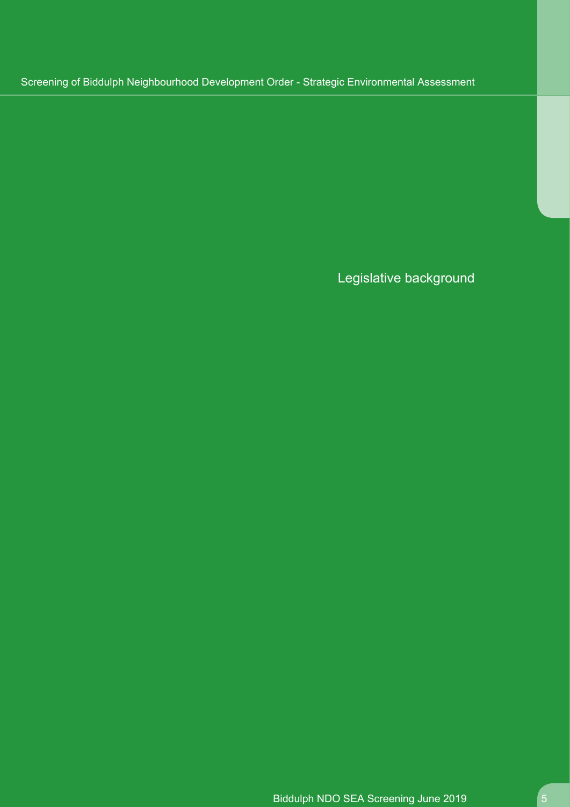Legislative background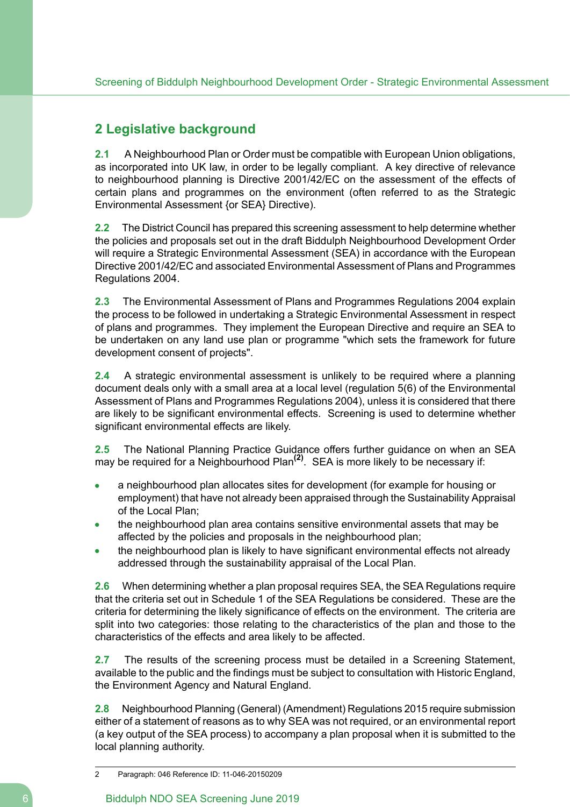# <span id="page-5-0"></span>**2 Legislative background**

**2.1** A Neighbourhood Plan or Order must be compatible with European Union obligations, as incorporated into UK law, in order to be legally compliant. A key directive of relevance to neighbourhood planning is Directive 2001/42/EC on the assessment of the effects of certain plans and programmes on the environment (often referred to as the Strategic Environmental Assessment {or SEA} Directive).

**2.2** The District Council has prepared this screening assessment to help determine whether the policies and proposals set out in the draft Biddulph Neighbourhood Development Order will require a Strategic Environmental Assessment (SEA) in accordance with the European Directive 2001/42/EC and associated Environmental Assessment of Plans and Programmes Regulations 2004.

**2.3** The Environmental Assessment of Plans and Programmes Regulations 2004 explain the process to be followed in undertaking a Strategic Environmental Assessment in respect of plans and programmes. They implement the European Directive and require an SEA to be undertaken on any land use plan or programme "which sets the framework for future development consent of projects".

**2.4** A strategic environmental assessment is unlikely to be required where a planning document deals only with a small area at a local level (regulation 5(6) of the Environmental Assessment of Plans and Programmes Regulations 2004), unless it is considered that there are likely to be significant environmental effects. Screening is used to determine whether significant environmental effects are likely.

**2.5** The National Planning Practice Guidance offers further guidance on when an SEA may be required for a Neighbourhood Plan**(2)** . SEA is more likely to be necessary if:

- a neighbourhood plan allocates sites for development (for example for housing or employment) that have not already been appraised through the Sustainability Appraisal of the Local Plan;
- the neighbourhood plan area contains sensitive environmental assets that may be affected by the policies and proposals in the neighbourhood plan;
- the neighbourhood plan is likely to have significant environmental effects not already addressed through the sustainability appraisal of the Local Plan.

**2.6** When determining whether a plan proposal requires SEA, the SEA Regulations require that the criteria set out in Schedule 1 of the SEA Regulations be considered. These are the criteria for determining the likely significance of effects on the environment. The criteria are split into two categories: those relating to the characteristics of the plan and those to the characteristics of the effects and area likely to be affected.

**2.7** The results of the screening process must be detailed in a Screening Statement, available to the public and the findings must be subject to consultation with Historic England, the Environment Agency and Natural England.

**2.8** Neighbourhood Planning (General) (Amendment) Regulations 2015 require submission either of a statement of reasons as to why SEA was not required, or an environmental report (a key output of the SEA process) to accompany a plan proposal when it is submitted to the local planning authority.

<sup>2</sup> Paragraph: 046 Reference ID: 11-046-20150209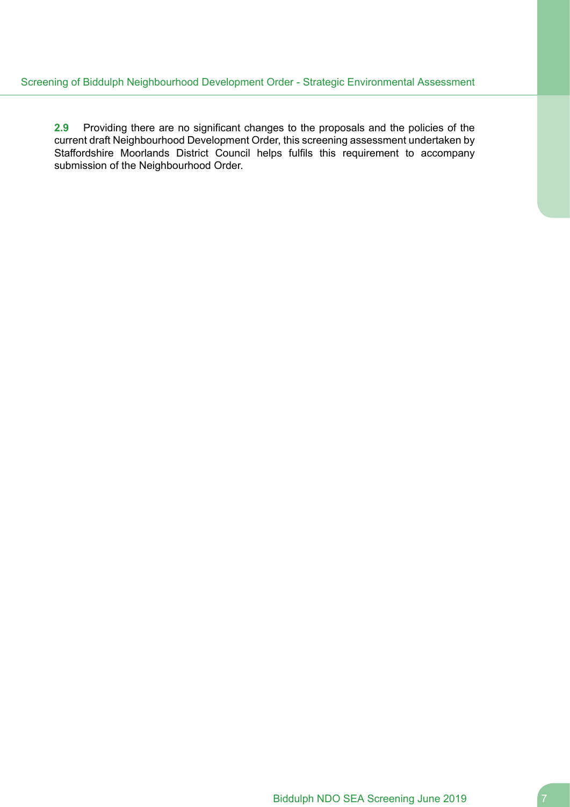**2.9** Providing there are no significant changes to the proposals and the policies of the current draft Neighbourhood Development Order, this screening assessment undertaken by Staffordshire Moorlands District Council helps fulfils this requirement to accompany submission of the Neighbourhood Order.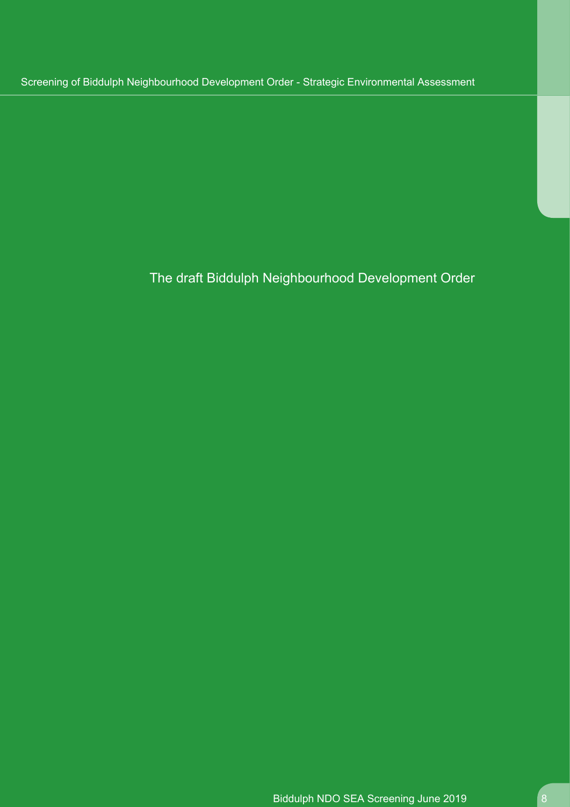The draft Biddulph Neighbourhood Development Order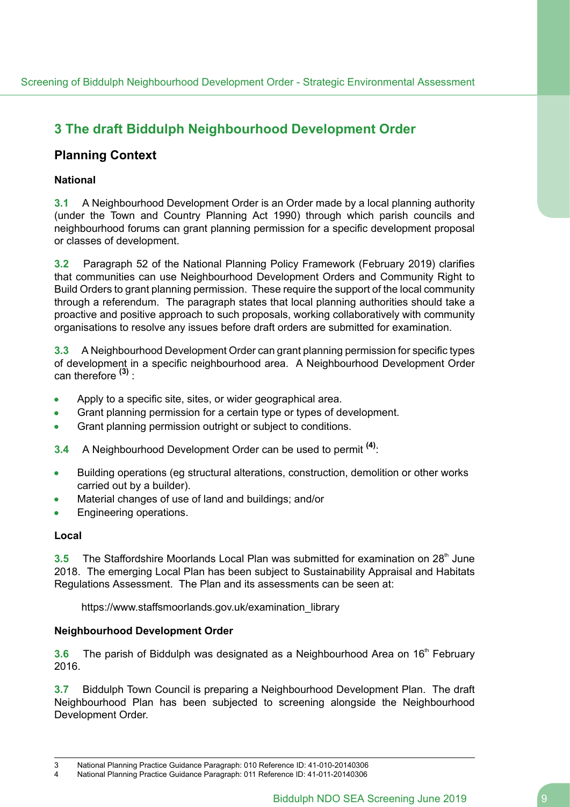# <span id="page-8-0"></span>**3 The draft Biddulph Neighbourhood Development Order**

# **Planning Context**

## **National**

**3.1** A Neighbourhood Development Order is an Order made by a local planning authority (under the Town and Country Planning Act 1990) through which parish councils and neighbourhood forums can grant planning permission for a specific development proposal or classes of development.

**3.2** Paragraph 52 of the National Planning Policy Framework (February 2019) clarifies that communities can use Neighbourhood Development Orders and Community Right to Build Orders to grant planning permission. These require the support of the local community through a referendum. The paragraph states that local planning authorities should take a proactive and positive approach to such proposals, working collaboratively with community organisations to resolve any issues before draft orders are submitted for examination.

**3.3** A Neighbourhood Development Order can grant planning permission for specific types of development in a specific neighbourhood area. A Neighbourhood Development Order can therefore **(3)** :

- Apply to a specific site, sites, or wider geographical area.
- Grant planning permission for a certain type or types of development.
- Grant planning permission outright or subject to conditions.  $\bullet$
- **3.4** A Neighbourhood Development Order can be used to permit **(4)**:
- Building operations (eg structural alterations, construction, demolition or other works  $\bullet$ carried out by a builder).
- Material changes of use of land and buildings; and/or
- Engineering operations.  $\bullet$

### **Local**

**3.5** The Staffordshire Moorlands Local Plan was submitted for examination on 28<sup>th</sup> June 2018. The emerging Local Plan has been subject to Sustainability Appraisal and Habitats Regulations Assessment. The Plan and its assessments can be seen at:

https://www.staffsmoorlands.gov.uk/examination\_library

### **Neighbourhood Development Order**

**3.6** The parish of Biddulph was designated as a Neighbourhood Area on 16<sup>th</sup> February 2016.

**3.7** Biddulph Town Council is preparing a Neighbourhood Development Plan. The draft Neighbourhood Plan has been subjected to screening alongside the Neighbourhood Development Order.

<sup>3</sup> National Planning Practice Guidance Paragraph: 010 Reference ID: 41-010-20140306<br>4 National Planning Practice Guidance Paragraph: 011 Peterence ID: 41-011-20140306

<sup>4</sup> National Planning Practice Guidance Paragraph: 011 Reference ID: 41-011-20140306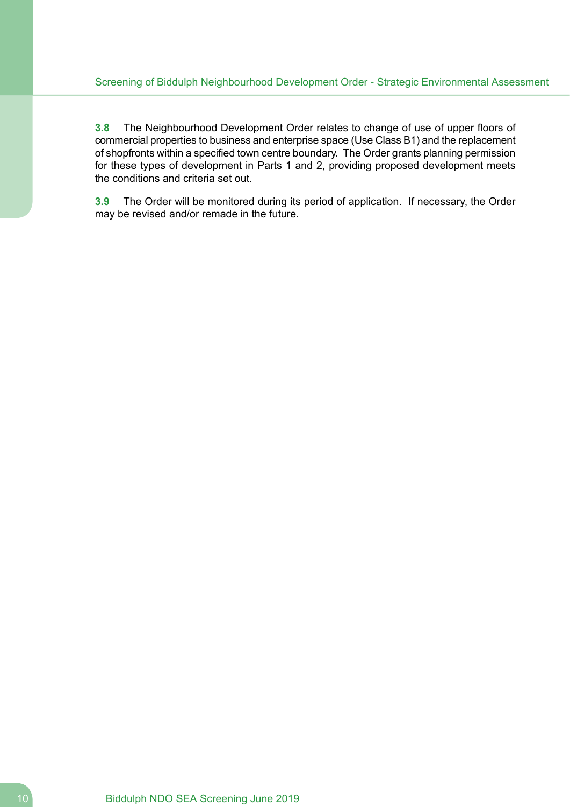**3.8** The Neighbourhood Development Order relates to change of use of upper floors of commercial properties to business and enterprise space (Use Class B1) and the replacement of shopfronts within a specified town centre boundary. The Order grants planning permission for these types of development in Parts 1 and 2, providing proposed development meets the conditions and criteria set out.

**3.9** The Order will be monitored during its period of application. If necessary, the Order may be revised and/or remade in the future.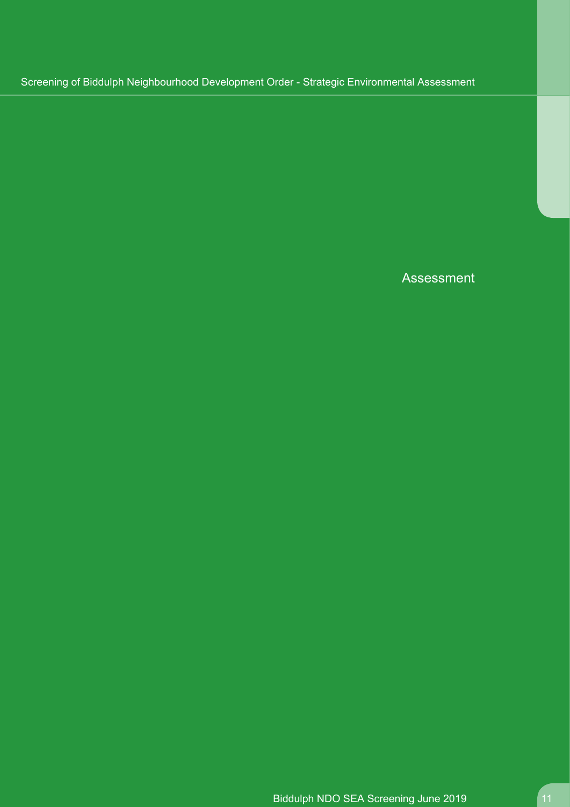Assessment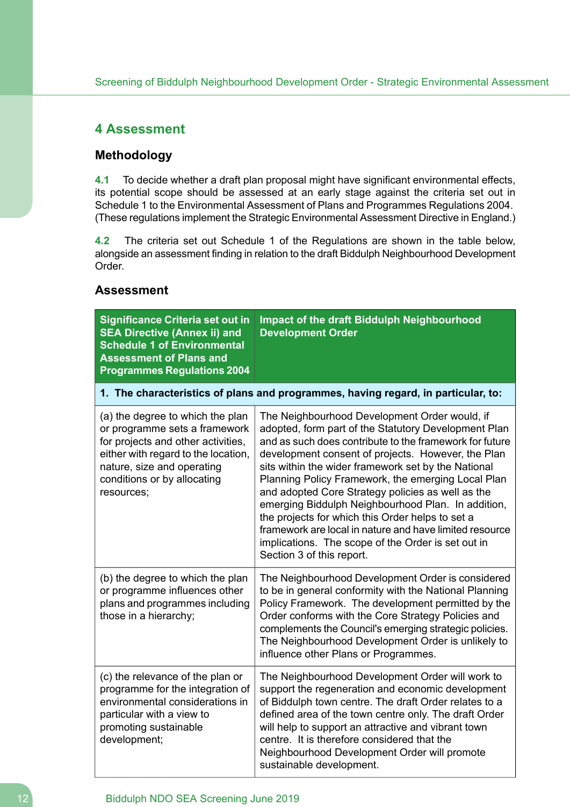# <span id="page-11-0"></span>**4 Assessment**

# **Methodology**

**4.1** To decide whether a draft plan proposal might have significant environmental effects, its potential scope should be assessed at an early stage against the criteria set out in Schedule 1 to the Environmental Assessment of Plans and Programmes Regulations 2004. (These regulations implement the Strategic Environmental Assessment Directive in England.)

**4.2** The criteria set out Schedule 1 of the Regulations are shown in the table below, alongside an assessment finding in relation to the draft Biddulph Neighbourhood Development Order.

## **Assessment**

| <b>Significance Criteria set out in</b><br><b>SEA Directive (Annex ii) and</b><br><b>Schedule 1 of Environmental</b><br><b>Assessment of Plans and</b><br><b>Programmes Regulations 2004</b>                              | Impact of the draft Biddulph Neighbourhood<br><b>Development Order</b>                                                                                                                                                                                                                                                                                                                                                                                                                                                                                                                                                                           |  |
|---------------------------------------------------------------------------------------------------------------------------------------------------------------------------------------------------------------------------|--------------------------------------------------------------------------------------------------------------------------------------------------------------------------------------------------------------------------------------------------------------------------------------------------------------------------------------------------------------------------------------------------------------------------------------------------------------------------------------------------------------------------------------------------------------------------------------------------------------------------------------------------|--|
| 1. The characteristics of plans and programmes, having regard, in particular, to:                                                                                                                                         |                                                                                                                                                                                                                                                                                                                                                                                                                                                                                                                                                                                                                                                  |  |
| (a) the degree to which the plan<br>or programme sets a framework<br>for projects and other activities,<br>either with regard to the location,<br>nature, size and operating<br>conditions or by allocating<br>resources; | The Neighbourhood Development Order would, if<br>adopted, form part of the Statutory Development Plan<br>and as such does contribute to the framework for future<br>development consent of projects. However, the Plan<br>sits within the wider framework set by the National<br>Planning Policy Framework, the emerging Local Plan<br>and adopted Core Strategy policies as well as the<br>emerging Biddulph Neighbourhood Plan. In addition,<br>the projects for which this Order helps to set a<br>framework are local in nature and have limited resource<br>implications. The scope of the Order is set out in<br>Section 3 of this report. |  |
| (b) the degree to which the plan<br>or programme influences other<br>plans and programmes including<br>those in a hierarchy;                                                                                              | The Neighbourhood Development Order is considered<br>to be in general conformity with the National Planning<br>Policy Framework. The development permitted by the<br>Order conforms with the Core Strategy Policies and<br>complements the Council's emerging strategic policies.<br>The Neighbourhood Development Order is unlikely to<br>influence other Plans or Programmes.                                                                                                                                                                                                                                                                  |  |
| (c) the relevance of the plan or<br>programme for the integration of<br>environmental considerations in<br>particular with a view to<br>promoting sustainable<br>development;                                             | The Neighbourhood Development Order will work to<br>support the regeneration and economic development<br>of Biddulph town centre. The draft Order relates to a<br>defined area of the town centre only. The draft Order<br>will help to support an attractive and vibrant town<br>centre. It is therefore considered that the<br>Neighbourhood Development Order will promote<br>sustainable development.                                                                                                                                                                                                                                        |  |

### 12 **Biddulph NDO SEA Screening June 2019**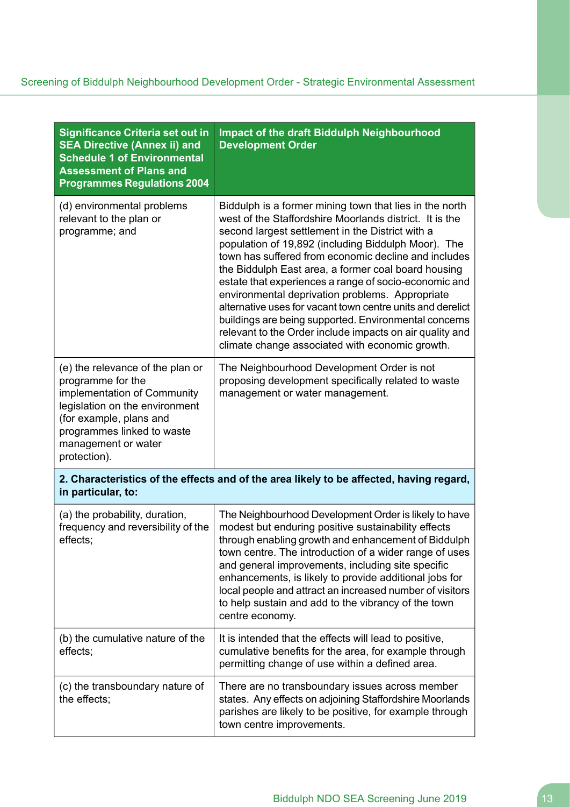| <b>Significance Criteria set out in</b><br><b>SEA Directive (Annex ii) and</b><br><b>Schedule 1 of Environmental</b><br><b>Assessment of Plans and</b><br><b>Programmes Regulations 2004</b>                           | Impact of the draft Biddulph Neighbourhood<br><b>Development Order</b>                                                                                                                                                                                                                                                                                                                                                                                                                                                                                                                                                                                                                         |  |
|------------------------------------------------------------------------------------------------------------------------------------------------------------------------------------------------------------------------|------------------------------------------------------------------------------------------------------------------------------------------------------------------------------------------------------------------------------------------------------------------------------------------------------------------------------------------------------------------------------------------------------------------------------------------------------------------------------------------------------------------------------------------------------------------------------------------------------------------------------------------------------------------------------------------------|--|
| (d) environmental problems<br>relevant to the plan or<br>programme; and                                                                                                                                                | Biddulph is a former mining town that lies in the north<br>west of the Staffordshire Moorlands district. It is the<br>second largest settlement in the District with a<br>population of 19,892 (including Biddulph Moor). The<br>town has suffered from economic decline and includes<br>the Biddulph East area, a former coal board housing<br>estate that experiences a range of socio-economic and<br>environmental deprivation problems. Appropriate<br>alternative uses for vacant town centre units and derelict<br>buildings are being supported. Environmental concerns<br>relevant to the Order include impacts on air quality and<br>climate change associated with economic growth. |  |
| (e) the relevance of the plan or<br>programme for the<br>implementation of Community<br>legislation on the environment<br>(for example, plans and<br>programmes linked to waste<br>management or water<br>protection). | The Neighbourhood Development Order is not<br>proposing development specifically related to waste<br>management or water management.                                                                                                                                                                                                                                                                                                                                                                                                                                                                                                                                                           |  |
| 2. Characteristics of the effects and of the area likely to be affected, having regard,<br>in particular, to:                                                                                                          |                                                                                                                                                                                                                                                                                                                                                                                                                                                                                                                                                                                                                                                                                                |  |
| (a) the probability, duration,<br>frequency and reversibility of the<br>effects;                                                                                                                                       | The Neighbourhood Development Order is likely to have<br>modest but enduring positive sustainability effects<br>through enabling growth and enhancement of Biddulph<br>town centre. The introduction of a wider range of uses<br>and general improvements, including site specific<br>enhancements, is likely to provide additional jobs for<br>local people and attract an increased number of visitors<br>to help sustain and add to the vibrancy of the town<br>centre economy.                                                                                                                                                                                                             |  |
| (b) the cumulative nature of the<br>effects;                                                                                                                                                                           | It is intended that the effects will lead to positive,<br>cumulative benefits for the area, for example through<br>permitting change of use within a defined area.                                                                                                                                                                                                                                                                                                                                                                                                                                                                                                                             |  |
| (c) the transboundary nature of<br>the effects;                                                                                                                                                                        | There are no transboundary issues across member<br>states. Any effects on adjoining Staffordshire Moorlands<br>parishes are likely to be positive, for example through<br>town centre improvements.                                                                                                                                                                                                                                                                                                                                                                                                                                                                                            |  |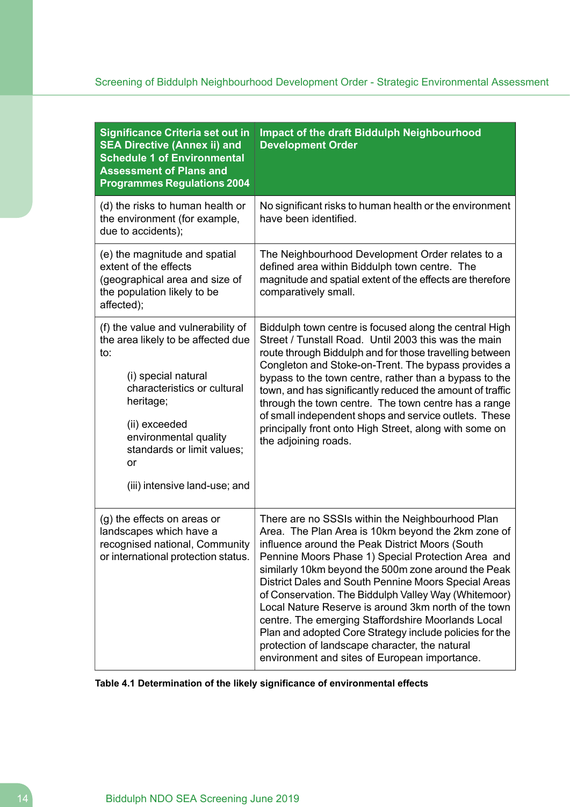| <b>Significance Criteria set out in</b><br><b>SEA Directive (Annex ii) and</b><br><b>Schedule 1 of Environmental</b><br><b>Assessment of Plans and</b><br><b>Programmes Regulations 2004</b>                                                                             | Impact of the draft Biddulph Neighbourhood<br><b>Development Order</b>                                                                                                                                                                                                                                                                                                                                                                                                                                                                                                                                                                                             |
|--------------------------------------------------------------------------------------------------------------------------------------------------------------------------------------------------------------------------------------------------------------------------|--------------------------------------------------------------------------------------------------------------------------------------------------------------------------------------------------------------------------------------------------------------------------------------------------------------------------------------------------------------------------------------------------------------------------------------------------------------------------------------------------------------------------------------------------------------------------------------------------------------------------------------------------------------------|
| (d) the risks to human health or<br>the environment (for example,<br>due to accidents);                                                                                                                                                                                  | No significant risks to human health or the environment<br>have been identified.                                                                                                                                                                                                                                                                                                                                                                                                                                                                                                                                                                                   |
| (e) the magnitude and spatial<br>extent of the effects<br>(geographical area and size of<br>the population likely to be<br>affected);                                                                                                                                    | The Neighbourhood Development Order relates to a<br>defined area within Biddulph town centre. The<br>magnitude and spatial extent of the effects are therefore<br>comparatively small.                                                                                                                                                                                                                                                                                                                                                                                                                                                                             |
| (f) the value and vulnerability of<br>the area likely to be affected due<br>to:<br>(i) special natural<br>characteristics or cultural<br>heritage;<br>(ii) exceeded<br>environmental quality<br>standards or limit values;<br><b>or</b><br>(iii) intensive land-use; and | Biddulph town centre is focused along the central High<br>Street / Tunstall Road. Until 2003 this was the main<br>route through Biddulph and for those travelling between<br>Congleton and Stoke-on-Trent. The bypass provides a<br>bypass to the town centre, rather than a bypass to the<br>town, and has significantly reduced the amount of traffic<br>through the town centre. The town centre has a range<br>of small independent shops and service outlets. These<br>principally front onto High Street, along with some on<br>the adjoining roads.                                                                                                         |
| (g) the effects on areas or<br>landscapes which have a<br>recognised national, Community<br>or international protection status.                                                                                                                                          | There are no SSSIs within the Neighbourhood Plan<br>Area. The Plan Area is 10km beyond the 2km zone of<br>influence around the Peak District Moors (South<br>Pennine Moors Phase 1) Special Protection Area and<br>similarly 10km beyond the 500m zone around the Peak<br>District Dales and South Pennine Moors Special Areas<br>of Conservation. The Biddulph Valley Way (Whitemoor)<br>Local Nature Reserve is around 3km north of the town<br>centre. The emerging Staffordshire Moorlands Local<br>Plan and adopted Core Strategy include policies for the<br>protection of landscape character, the natural<br>environment and sites of European importance. |

# **Table 4.1 Determination of the likely significance of environmental effects**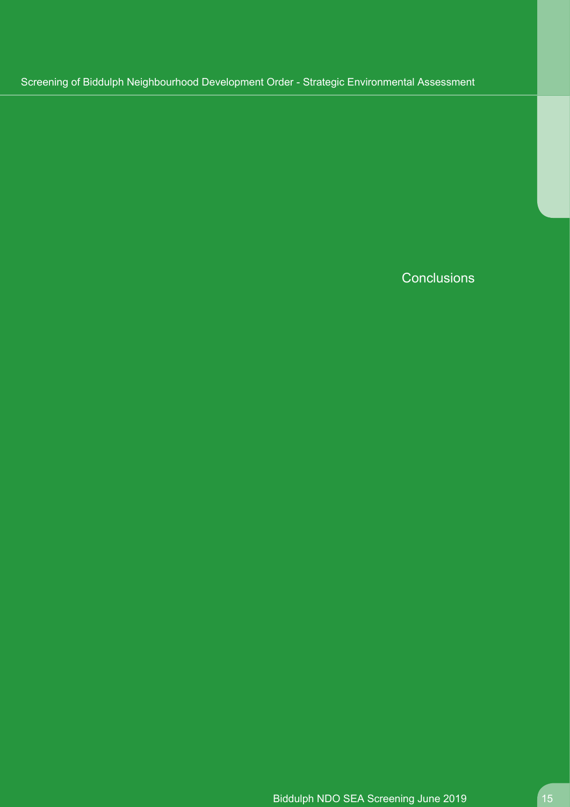**Conclusions**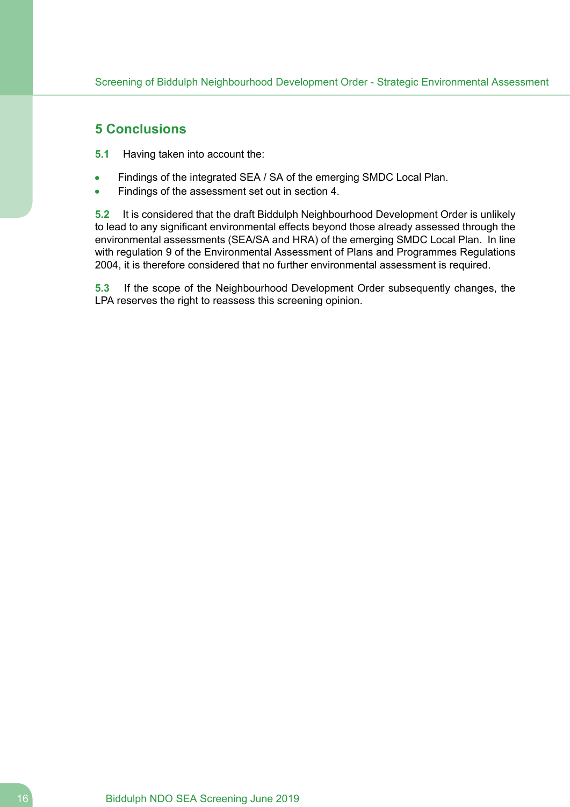# <span id="page-15-0"></span>**5 Conclusions**

- **5.1** Having taken into account the:
- Findings of the integrated SEA / SA of the emerging SMDC Local Plan.
- Findings of the assessment set out in section 4.

**5.2** It is considered that the draft Biddulph Neighbourhood Development Order is unlikely to lead to any significant environmental effects beyond those already assessed through the environmental assessments (SEA/SA and HRA) of the emerging SMDC Local Plan. In line with regulation 9 of the Environmental Assessment of Plans and Programmes Regulations 2004, it is therefore considered that no further environmental assessment is required.

**5.3** If the scope of the Neighbourhood Development Order subsequently changes, the LPA reserves the right to reassess this screening opinion.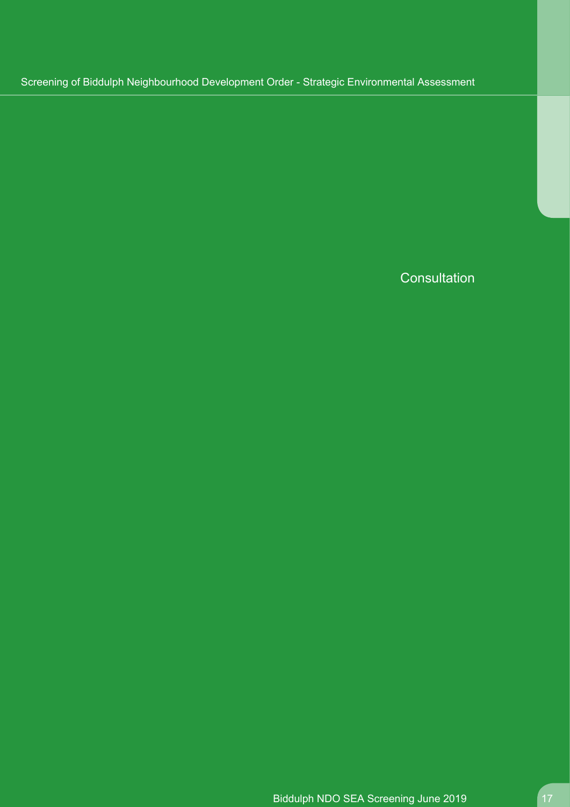**Consultation**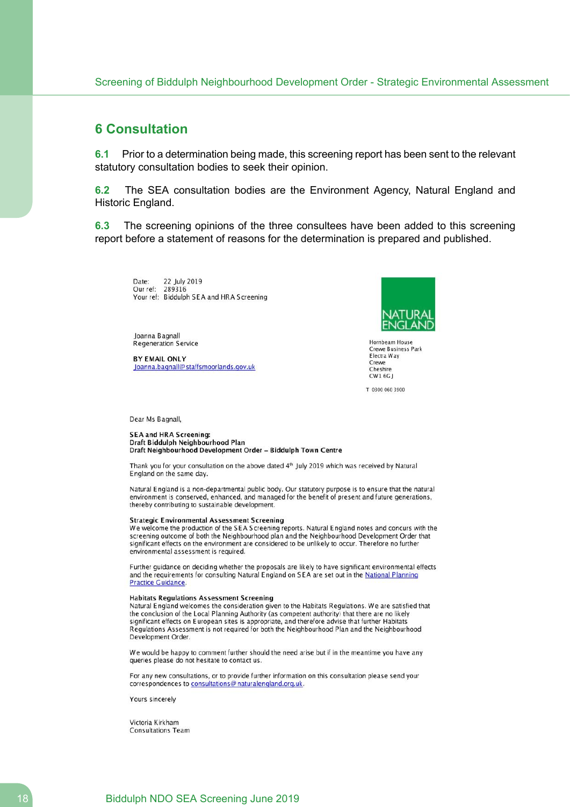## <span id="page-17-0"></span>**6 Consultation**

**6.1** Prior to a determination being made, this screening report has been sent to the relevant statutory consultation bodies to seek their opinion.

**6.2** The SEA consultation bodies are the Environment Agency, Natural England and Historic England.

**6.3** The screening opinions of the three consultees have been added to this screening report before a statement of reasons for the determination is prepared and published.

22 July 2019 Date: Our ref: 289316 Your ref: Biddulph SEA and HRA Screening

Joanna Bagnall **Regeneration Service** 

**BY EMAIL ONLY** Joanna.bagnall@staffsmoorlands.gov.uk



Hornbeam House **Crewe Business Park** Electra Way Crewe Cheshire  $CW16G$ 

T 0300 060 3900

Dear Ms Bagnall,

#### **SEA and HRA Screening:** Draft Biddulph Neighbourhood Plan Draft Neighbourhood Development Order - Biddulph Town Centre

Thank you for your consultation on the above dated 4th July 2019 which was received by Natural England on the same day.

Natural England is a non-departmental public body. Our statutory purpose is to ensure that the natural environment is conserved, enhanced, and managed for the benefit of present and future generations, thereby contributing to sustainable development.

#### **Strategic Environmental Assessment Screening**

We welcome the production of the SEA Screening reports. Natural England notes and concurs with the screening outcome of both the Neighbourhood plan and the Neighbourhood Development Order that significant effects on the environment are considered to be unlikely to occur. Therefore no further environmental assessment is required.

Further guidance on deciding whether the proposals are likely to have significant environmental effects and the requirements for consulting Natural England on SEA are set out in the National Planning **Practice Guidance.** 

#### **Habitats Regulations Assessment Screening**

Natural England welcomes the consideration given to the Habitats Regulations. We are satisfied that the conclusion of the Local Planning Authority (as competent authority) that there are no likely significant effects on European sites is appropriate, and therefore advise that further Habitats Regulations Assessment is not required for both the Neighbourhood Plan and the Neighbourhood Development Order.

We would be happy to comment further should the need arise but if in the meantime you have any queries please do not hesitate to contact us.

For any new consultations, or to provide further information on this consultation please send your correspondences to consultations@naturalengland.org.uk.

Yours sincerely

Victoria Kirkham **Consultations Team**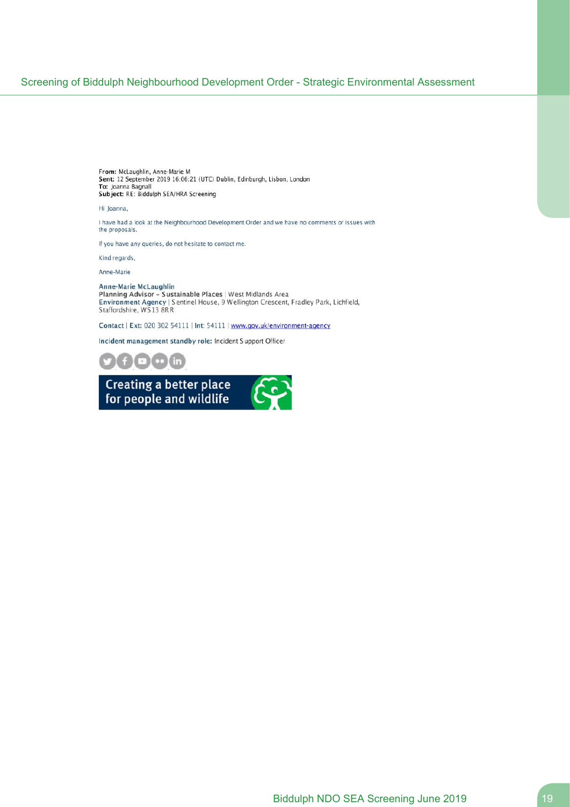From: McLaughlin, Anne-Marie M Sent: 12 September 2019 16:06:21 (UTC) Dublin, Edinburgh, Lisbon, London To: Joanna Bagnall Subject: RE: Biddulph SEA/HRA Screening

Hi Joanna,

I have had a look at the Neighbourhood Development Order and we have no comments or issues with the proposals.

If you have any queries, do not hesitate to contact me.

Kind regards,

Anne-Marie

# Anne-Marie McLaughlin<br>Planning Advisor – Sustainable Places | West Midlands Area<br>Environment Agency | Sentinel House, 9 Wellington Crescent, Fradley Park, Lichfield,<br>Staffordshire, WS13 8RR

Contact | Ext: 020 302 54111 | Int: 54111 | www.gov.uk/environment-agency

Incident management standby role: Incident Support Officer



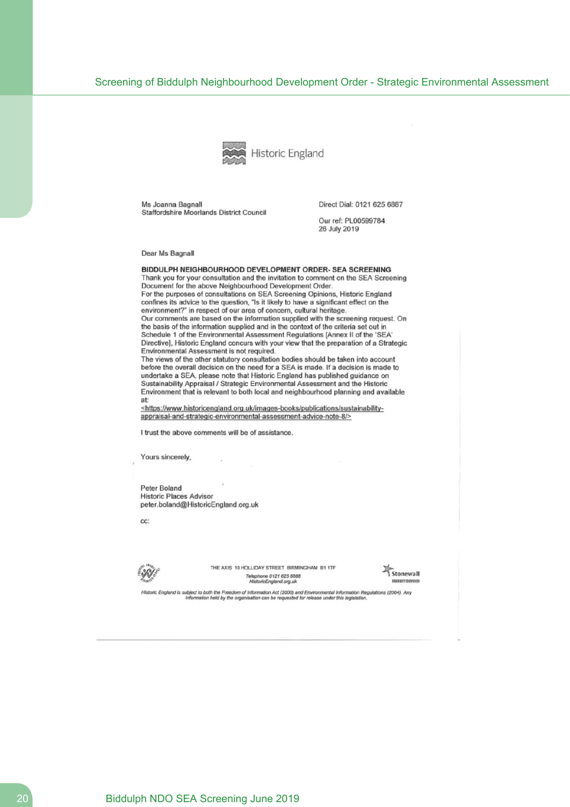

Ms Joanna Bagnall Staffordshire Moorlands District Council Direct Dial: 0121 625 6887

Our ref: PL00599784 26 July 2019

Dear Ms Bagnall

#### BIDDULPH NEIGHBOURHOOD DEVELOPMENT ORDER- SEA SCREENING

Thank you for your consultation and the invitation to comment on the SEA Screening Document for the above Neighbourhood Development Order. For the purposes of consultations on SEA Screening Opinions, Historic England confines its advice to the question, "Is it likely to have a significant effect on the environment?" in respect of our area of concern, cultural heritage. Our comments are based on the information supplied with the screening request. On the basis of the information supplied and in the context of the criteria set out in Schedule 1 of the Environmental Assessment Regulations [Annex II of the 'SEA' Directive], Historic England concurs with your view that the preparation of a Strategic Environmental Assessment is not required.

The views of the other statutory consultation bodies should be taken into account before the overall decision on the need for a SEA is made. If a decision is made to undertake a SEA, please note that Historic England has published guidance on Sustainability Appraisal / Strategic Environmental Assessment and the Historic Environment that is relevant to both local and neighbourhood planning and available at:

<https://www.historicengland.org.uk/images-books/publications/sustainabilityappraisal-and-strategic-environmental-assessment-advice-note-8/>

I trust the above comments will be of assistance.

Yours sincerely,

Peter Boland **Historic Places Advisor** peter.boland@HistoricEngland.org.uk

CC.



THE AXIS 10 HOLLIDAY STREET BIRMINGHAM B1 1TF Telephone 0121 625 6888<br>HistoricEnglend.org.uk



Historic England is subject to both the Freedom of Information Act (2000) and Environmental Information Regulations (2004). Any<br>Information held by the organisation can be requested for release under this legislation.